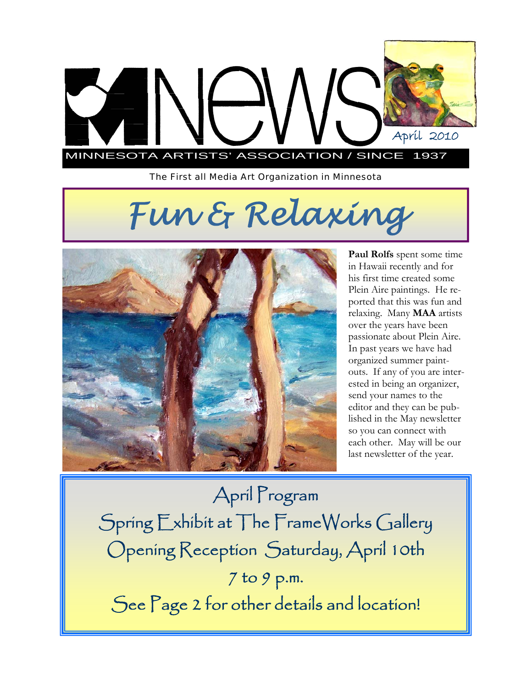

*The First all Media Art Organization in Minnesota* 

# *Fun & Relaxing*



**Paul Rolfs** spent some time in Hawaii recently and for his first time created some Plein Aire paintings. He reported that this was fun and relaxing. Many **MAA** artists over the years have been passionate about Plein Aire. In past years we have had organized summer paintouts. If any of you are interested in being an organizer, send your names to the editor and they can be published in the May newsletter so you can connect with each other. May will be our last newsletter of the year.

April Program Spring Exhibit at The FrameWorks Gallery Opening Reception Saturday, April 10th 7 to 9 p.m. See Page 2 for other details and location!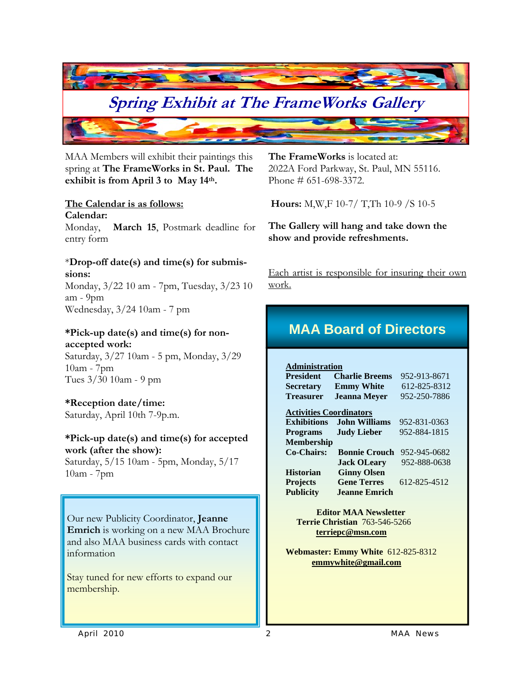

MAA Members will exhibit their paintings this spring at **The FrameWorks in St. Paul. The exhibit is from April 3 to May 14th.** 

### **The Calendar is as follows:**

**Calendar:** 

Monday, **March 15**, Postmark deadline for entry form

## \***Drop-off date(s) and time(s) for submissions:**

Monday, 3/22 10 am - 7pm, Tuesday, 3/23 10 am - 9pm Wednesday, 3/24 10am - 7 pm

### **\*Pick-up date(s) and time(s) for nonaccepted work:**

Saturday, 3/27 10am - 5 pm, Monday, 3/29 10am - 7pm Tues 3/30 10am - 9 pm

## **\*Reception date/time:**

Saturday, April 10th 7-9p.m.

## **\*Pick-up date(s) and time(s) for accepted work (after the show):**

Saturday, 5/15 10am - 5pm, Monday, 5/17 10am - 7pm

Our new Publicity Coordinator, **Jeanne Emrich** is working on a new MAA Brochure and also MAA business cards with contact information

Stay tuned for new efforts to expand our membership.

**The FrameWorks** is located at: 2022A Ford Parkway, St. Paul, MN 55116. Phone # 651-698-3372.

 **Hours:** M,W,F 10-7/ T,Th 10-9 /S 10-5

**The Gallery will hang and take down the show and provide refreshments.** 

Each artist is responsible for insuring their own work.

## **MAA Board of Directors**

**Administration President Charlie Breems** 952-913-8671 **Secretary Emmy White** 612-825-8312 **Treasurer Jeanna Meyer** 952-250-7886

#### **Activities Coordinators Exhibitions John Williams** 952-831-0363 **Programs Judy Lieber** 952-884-1815 **Membership Co-Chairs: Bonnie Crouch** 952-945-0682 **Jack OLeary** 952-888-0638 **Historian Ginny Olsen**

**Projects Gene Terres** 612-825-4512 **Publicity Jeanne Emrich** 

 **Editor MAA Newsletter Terrie Christian** 763-546-5266 **terriepc@msn.com**

**Webmaster: Emmy White** 612-825-8312  **emmywhite@gmail.com**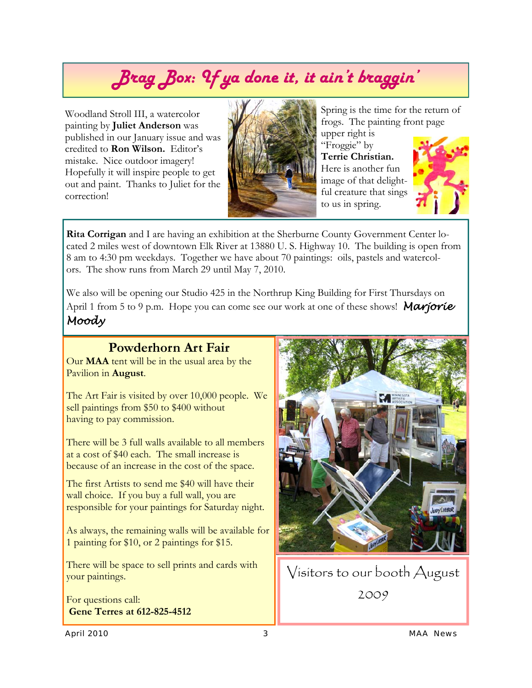## *Brag Box: If ya done it, it ain't braggin'*

Woodland Stroll III, a watercolor painting by **Juliet Anderson** was published in our January issue and was credited to **Ron Wilson.** Editor's mistake. Nice outdoor imagery! Hopefully it will inspire people to get out and paint. Thanks to Juliet for the correction!



Spring is the time for the return of frogs. The painting front page

upper right is "Froggie" by **Terrie Christian.**  Here is another fun image of that delightful creature that sings to us in spring.



**Rita Corrigan** and I are having an exhibition at the Sherburne County Government Center located 2 miles west of downtown Elk River at 13880 U. S. Highway 10. The building is open from 8 am to 4:30 pm weekdays. Together we have about 70 paintings: oils, pastels and watercolors. The show runs from March 29 until May 7, 2010.

We also will be opening our Studio 425 in the Northrup King Building for First Thursdays on April 1 from 5 to 9 p.m. Hope you can come see our work at one of these shows! *Marjorie Moody* 

## **Powderhorn Art Fair**

Our **MAA** tent will be in the usual area by the Pavilion in **August**.

The Art Fair is visited by over 10,000 people. We sell paintings from \$50 to \$400 without having to pay commission.

There will be 3 full walls available to all members at a cost of \$40 each. The small increase is because of an increase in the cost of the space.

The first Artists to send me \$40 will have their wall choice. If you buy a full wall, you are responsible for your paintings for Saturday night.

As always, the remaining walls will be available for 1 painting for \$10, or 2 paintings for \$15.

There will be space to sell prints and cards with your paintings.

For questions call: **Gene Terres at 612-825-4512** 



Visitors to our booth August 2009

*April 2010 3 MAA News*